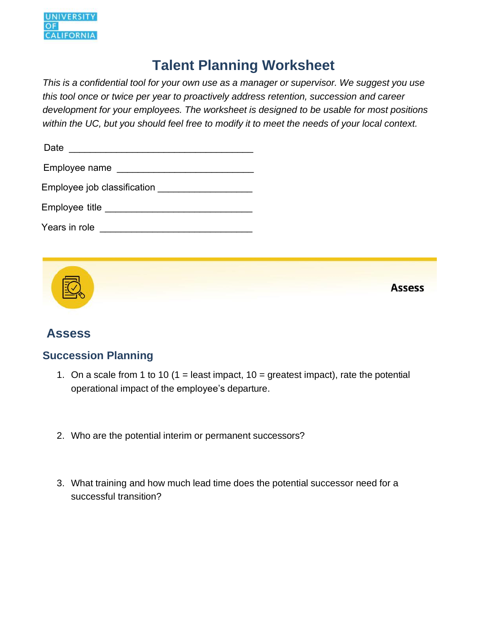

# **Talent Planning Worksheet**

*This is a confidential tool for your own use as a manager or supervisor. We suggest you use this tool once or twice per year to proactively address retention, succession and career development for your employees. The worksheet is designed to be usable for most positions within the UC, but you should feel free to modify it to meet the needs of your local context.* 

| Date                        |
|-----------------------------|
| Employee name               |
| Employee job classification |
| Employee title              |
| Years in role               |



### **Assess**

#### **Succession Planning**

- 1. On a scale from 1 to 10 (1 = least impact,  $10 =$  greatest impact), rate the potential operational impact of the employee's departure.
- 2. Who are the potential interim or permanent successors?
- 3. What training and how much lead time does the potential successor need for a successful transition?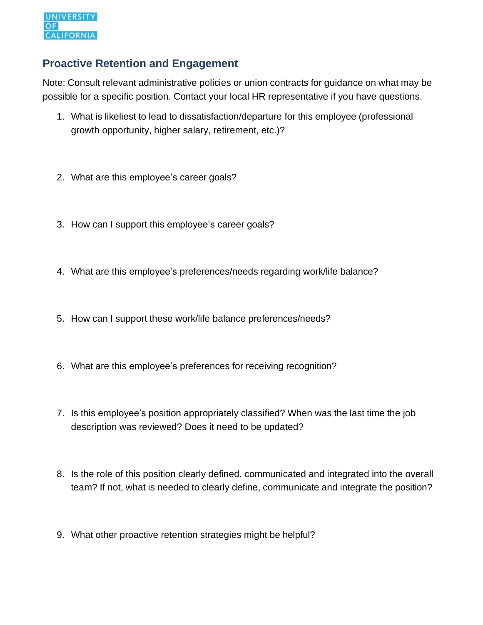#### **Proactive Retention and Engagement**

 possible for a specific position. Contact your local HR representative if you have questions. Note: Consult relevant administrative policies or union contracts for guidance on what may be

- growth opportunity, higher salary, retirement, etc.)? 1. What is likeliest to lead to dissatisfaction/departure for this employee (professional
- 2. What are this employee's career goals?
- 3. How can I support this employee's career goals?
- 4. What are this employee's preferences/needs regarding work/life balance?
- 5. How can I support these work/life balance preferences/needs?
- 6. What are this employee's preferences for receiving recognition?
- description was reviewed? Does it need to be updated? 7. Is this employee's position appropriately classified? When was the last time the job
- 8. Is the role of this position clearly defined, communicated and integrated into the overall team? If not, what is needed to clearly define, communicate and integrate the position?
- 9. What other proactive retention strategies might be helpful?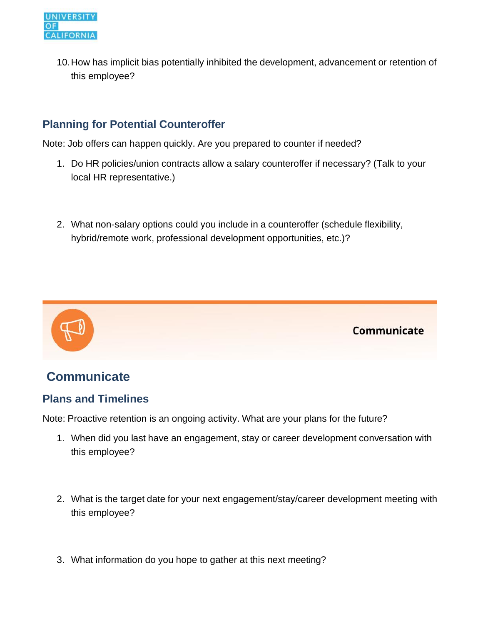10.How has implicit bias potentially inhibited the development, advancement or retention of this employee?

### **Planning for Potential Counteroffer**

Note: Job offers can happen quickly. Are you prepared to counter if needed?

- local HR representative.) 1. Do HR policies/union contracts allow a salary counteroffer if necessary? (Talk to your
- hybrid/remote work, professional development opportunities, etc.)? 2. What non-salary options could you include in a counteroffer (schedule flexibility,



# **Communicate**

#### **Plans and Timelines**

Note: Proactive retention is an ongoing activity. What are your plans for the future?

- 1. When did you last have an engagement, stay or career development conversation with this employee?
- 2. What is the target date for your next engagement/stay/career development meeting with this employee?
- 3. What information do you hope to gather at this next meeting?